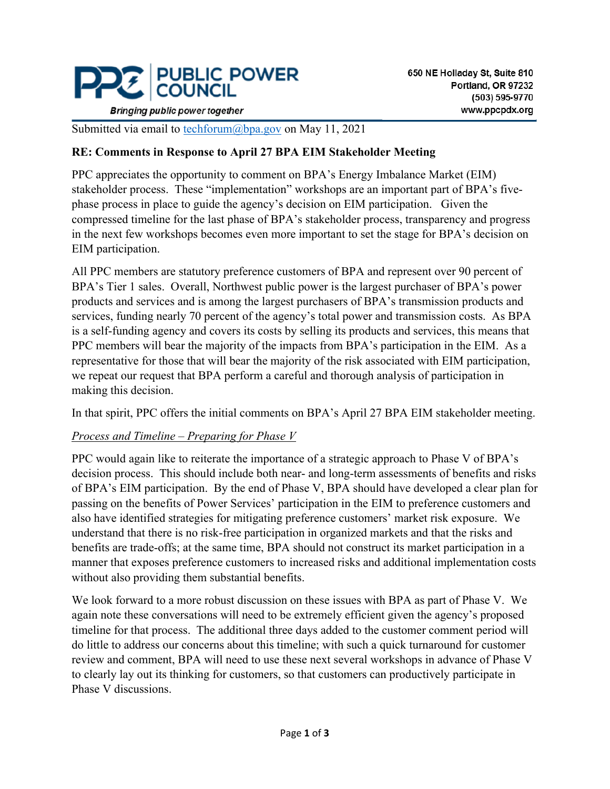

**Bringing public power together** 

Submitted via email to [techforum@bpa.gov](mailto:techforum@bpa.gov) on May 11, 2021

### **RE: Comments in Response to April 27 BPA EIM Stakeholder Meeting**

PPC appreciates the opportunity to comment on BPA's Energy Imbalance Market (EIM) stakeholder process. These "implementation" workshops are an important part of BPA's fivephase process in place to guide the agency's decision on EIM participation. Given the compressed timeline for the last phase of BPA's stakeholder process, transparency and progress in the next few workshops becomes even more important to set the stage for BPA's decision on EIM participation.

All PPC members are statutory preference customers of BPA and represent over 90 percent of BPA's Tier 1 sales. Overall, Northwest public power is the largest purchaser of BPA's power products and services and is among the largest purchasers of BPA's transmission products and services, funding nearly 70 percent of the agency's total power and transmission costs. As BPA is a self-funding agency and covers its costs by selling its products and services, this means that PPC members will bear the majority of the impacts from BPA's participation in the EIM. As a representative for those that will bear the majority of the risk associated with EIM participation, we repeat our request that BPA perform a careful and thorough analysis of participation in making this decision.

In that spirit, PPC offers the initial comments on BPA's April 27 BPA EIM stakeholder meeting.

### *Process and Timeline – Preparing for Phase V*

PPC would again like to reiterate the importance of a strategic approach to Phase V of BPA's decision process. This should include both near- and long-term assessments of benefits and risks of BPA's EIM participation. By the end of Phase V, BPA should have developed a clear plan for passing on the benefits of Power Services' participation in the EIM to preference customers and also have identified strategies for mitigating preference customers' market risk exposure. We understand that there is no risk-free participation in organized markets and that the risks and benefits are trade-offs; at the same time, BPA should not construct its market participation in a manner that exposes preference customers to increased risks and additional implementation costs without also providing them substantial benefits.

We look forward to a more robust discussion on these issues with BPA as part of Phase V. We again note these conversations will need to be extremely efficient given the agency's proposed timeline for that process. The additional three days added to the customer comment period will do little to address our concerns about this timeline; with such a quick turnaround for customer review and comment, BPA will need to use these next several workshops in advance of Phase V to clearly lay out its thinking for customers, so that customers can productively participate in Phase V discussions.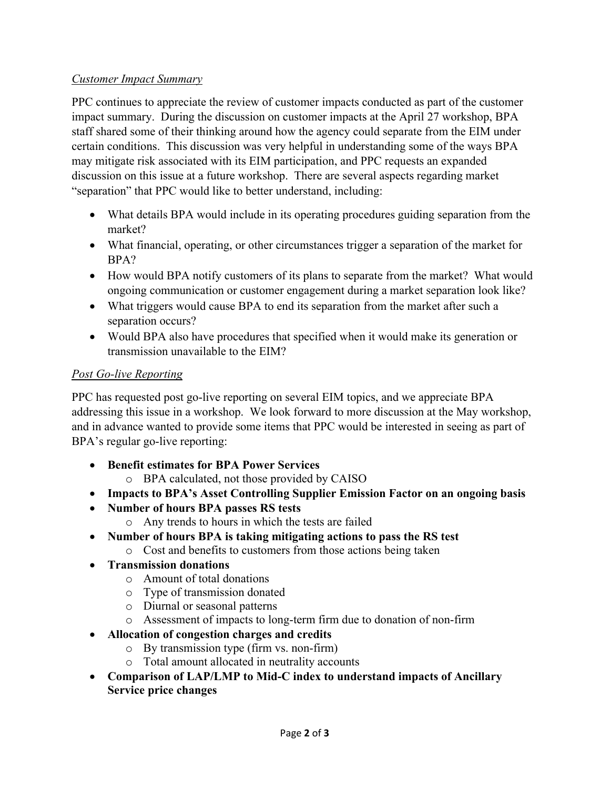## *Customer Impact Summary*

PPC continues to appreciate the review of customer impacts conducted as part of the customer impact summary. During the discussion on customer impacts at the April 27 workshop, BPA staff shared some of their thinking around how the agency could separate from the EIM under certain conditions. This discussion was very helpful in understanding some of the ways BPA may mitigate risk associated with its EIM participation, and PPC requests an expanded discussion on this issue at a future workshop. There are several aspects regarding market "separation" that PPC would like to better understand, including:

- What details BPA would include in its operating procedures guiding separation from the market?
- What financial, operating, or other circumstances trigger a separation of the market for BPA?
- How would BPA notify customers of its plans to separate from the market? What would ongoing communication or customer engagement during a market separation look like?
- What triggers would cause BPA to end its separation from the market after such a separation occurs?
- Would BPA also have procedures that specified when it would make its generation or transmission unavailable to the EIM?

# *Post Go-live Reporting*

PPC has requested post go-live reporting on several EIM topics, and we appreciate BPA addressing this issue in a workshop. We look forward to more discussion at the May workshop, and in advance wanted to provide some items that PPC would be interested in seeing as part of BPA's regular go-live reporting:

- **Benefit estimates for BPA Power Services** 
	- o BPA calculated, not those provided by CAISO
- **Impacts to BPA's Asset Controlling Supplier Emission Factor on an ongoing basis**
- **Number of hours BPA passes RS tests**
	- o Any trends to hours in which the tests are failed
- **Number of hours BPA is taking mitigating actions to pass the RS test**
	- o Cost and benefits to customers from those actions being taken
- **Transmission donations** 
	- o Amount of total donations
	- o Type of transmission donated
	- o Diurnal or seasonal patterns
	- o Assessment of impacts to long-term firm due to donation of non-firm
- **Allocation of congestion charges and credits** 
	- o By transmission type (firm vs. non-firm)
	- o Total amount allocated in neutrality accounts
- **Comparison of LAP/LMP to Mid-C index to understand impacts of Ancillary Service price changes**